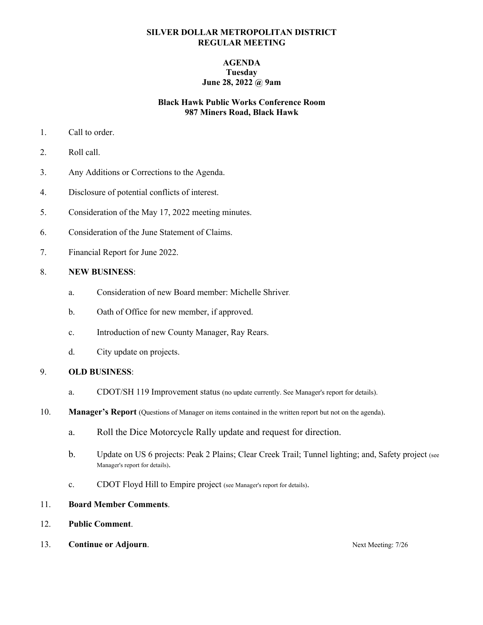#### **SILVER DOLLAR METROPOLITAN DISTRICT REGULAR MEETING**

### **AGENDA Tuesday June 28, 2022 @ 9am**

### **Black Hawk Public Works Conference Room 987 Miners Road, Black Hawk**

- 1. Call to order.
- 2. Roll call.
- 3. Any Additions or Corrections to the Agenda.
- 4. Disclosure of potential conflicts of interest.
- 5. Consideration of the May 17, 2022 meeting minutes.
- 6. Consideration of the June Statement of Claims.
- 7. Financial Report for June 2022.

#### 8. **NEW BUSINESS**:

- a. Consideration of new Board member: Michelle Shriver.
- b. Oath of Office for new member, if approved.
- c. Introduction of new County Manager, Ray Rears.
- d. City update on projects.

#### 9. **OLD BUSINESS**:

- a. CDOT/SH 119 Improvement status (no update currently. See Manager's report for details).
- 10. **Manager's Report** (Questions of Manager on items contained in the written report but not on the agenda).
	- a. Roll the Dice Motorcycle Rally update and request for direction.
	- b. Update on US 6 projects: Peak 2 Plains; Clear Creek Trail; Tunnel lighting; and, Safety project (see Manager's report for details).
	- c. CDOT Floyd Hill to Empire project (see Manager's report for details).
- 11. **Board Member Comments**.
- 12. **Public Comment**.
- 13. **Continue or Adjourn. Continue or Adjourn.** Next Meeting: 7/26